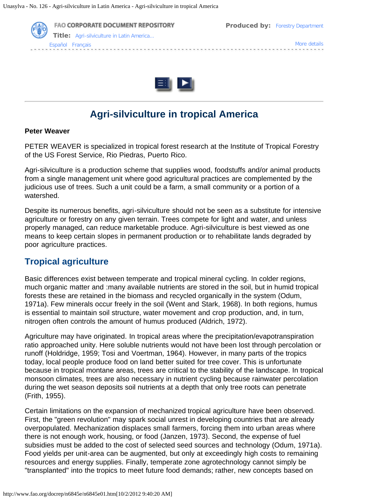



# **Agri-silviculture in tropical America**

#### **Peter Weaver**

PETER WEAVER is specialized in tropical forest research at the Institute of Tropical Forestry of the US Forest Service, Rio Piedras, Puerto Rico.

Agri-silviculture is a production scheme that supplies wood, foodstuffs and/or animal products from a single management unit where good agricultural practices are complemented by the judicious use of trees. Such a unit could be a farm, a small community or a portion of a watershed.

Despite its numerous benefits, agri-silviculture should not be seen as a substitute for intensive agriculture or forestry on any given terrain. Trees compete for light and water, and unless properly managed, can reduce marketable produce. Agri-silviculture is best viewed as one means to keep certain slopes in permanent production or to rehabilitate lands degraded by poor agriculture practices.

### **Tropical agriculture**

Basic differences exist between temperate and tropical mineral cycling. In colder regions, much organic matter and :many available nutrients are stored in the soil, but in humid tropical forests these are retained in the biomass and recycled organically in the system (Odum, 1971a). Few minerals occur freely in the soil (Went and Stark, 1968). In both regions, humus is essential to maintain soil structure, water movement and crop production, and, in turn, nitrogen often controls the amount of humus produced (Aldrich, 1972).

Agriculture may have originated. In tropical areas where the precipitation/evapotranspiration ratio approached unity. Here soluble nutrients would not have been lost through percolation or runoff (Holdridge, 1959; Tosi and Voertman, 1964). However, in many parts of the tropics today, local people produce food on land better suited for tree cover. This is unfortunate because in tropical montane areas, trees are critical to the stability of the landscape. In tropical monsoon climates, trees are also necessary in nutrient cycling because rainwater percolation during the wet season deposits soil nutrients at a depth that only tree roots can penetrate (Frith, 1955).

Certain limitations on the expansion of mechanized tropical agriculture have been observed. First, the "green revolution" may spark social unrest in developing countries that are already overpopulated. Mechanization displaces small farmers, forcing them into urban areas where there is not enough work, housing, or food (Janzen, 1973). Second, the expense of fuel subsidies must be added to the cost of selected seed sources and technology (Odum, 1971a). Food yields per unit-area can be augmented, but only at exceedingly high costs to remaining resources and energy supplies. Finally, temperate zone agrotechnology cannot simply be "transplanted" into the tropics to meet future food demands; rather, new concepts based on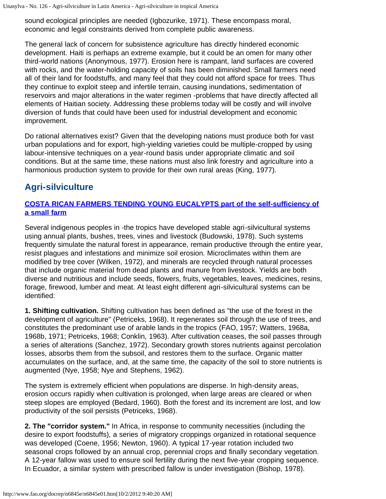sound ecological principles are needed (Igbozurike, 1971). These encompass moral, economic and legal constraints derived from complete public awareness.

The general lack of concern for subsistence agriculture has directly hindered economic development. Haiti is perhaps an extreme example, but it could be an omen for many other third-world nations (Anonymous, 1977). Erosion here is rampant, land surfaces are covered with rocks, and the water-holding capacity of soils has been diminished. Small farmers need all of their land for foodstuffs, and many feel that they could not afford space for trees. Thus they continue to exploit steep and infertile terrain, causing inundations, sedimentation of reservoirs and major alterations in the water regimen -problems that have directly affected all elements of Haitian society. Addressing these problems today will be costly and will involve diversion of funds that could have been used for industrial development and economic improvement.

Do rational alternatives exist? Given that the developing nations must produce both for vast urban populations and for export, high-yielding varieties could be multiple-cropped by using labour-intensive techniques on a year-round basis under appropriate climatic and soil conditions. But at the same time, these nations must also link forestry and agriculture into a harmonious production system to provide for their own rural areas (King, 1977).

## **Agri-silviculture**

#### **[COSTA RICAN FARMERS TENDING YOUNG EUCALYPTS part of the self-sufficiency of](http://www.fao.org/docrep/n6845e/n6845e03.jpg) [a small farm](http://www.fao.org/docrep/n6845e/n6845e03.jpg)**

Several indigenous peoples in -the tropics have developed stable agri-silvicultural systems using annual plants, bushes, trees, vines and livestock (Budowski, 1978). Such systems frequently simulate the natural forest in appearance, remain productive through the entire year, resist plagues and infestations and minimize soil erosion. Microclimates within them are modified by tree cover (Wilken, 1972), and minerals are recycled through natural processes that include organic material from dead plants and manure from livestock. Yields are both diverse and nutritious and include seeds, flowers, fruits, vegetables, leaves, medicines, resins, forage, firewood, lumber and meat. At least eight different agri-silvicultural systems can be identified:

**1. Shifting cultivation.** Shifting cultivation has been defined as "the use of the forest in the development of agriculture" (Petriceks, 1968). It regenerates soil through the use of trees, and constitutes the predominant use of arable lands in the tropics (FAO, 1957; Watters, 1968a, 1968b, 1971; Petriceks, 1968; Conklin, 1963). After cultivation ceases, the soil passes through a series of alterations (Sanchez, 1972). Secondary growth stores nutrients against percolation losses, absorbs them from the subsoil, and restores them to the surface. Organic matter accumulates on the surface, and, at the same time, the capacity of the soil to store nutrients is augmented (Nye, 1958; Nye and Stephens, 1962).

The system is extremely efficient when populations are disperse. In high-density areas, erosion occurs rapidly when cultivation is prolonged, when large areas are cleared or when steep slopes are employed (Bedard, 1960). Both the forest and its increment are lost, and low productivity of the soil persists (Petriceks, 1968).

**2. The "corridor system."** In Africa, in response to community necessities (including the desire to export foodstuffs), a series of migratory croppings organized in rotational sequence was developed (Coene, 1956; Newton, 1960). A typical 17-year rotation included two seasonal crops followed by an annual crop, perennial crops and finally secondary vegetation. A 12-year fallow was used to ensure soil fertility during the next five-year cropping sequence. In Ecuador, a similar system with prescribed fallow is under investigation (Bishop, 1978).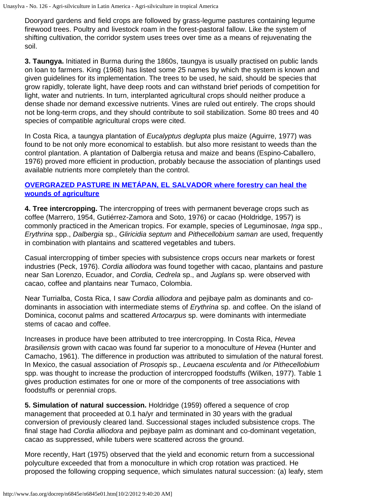Dooryard gardens and field crops are followed by grass-legume pastures containing legume firewood trees. Poultry and livestock roam in the forest-pastoral fallow. Like the system of shifting cultivation, the corridor system uses trees over time as a means of rejuvenating the soil.

**3. Taungya.** Initiated in Burma during the 1860s, taungya is usually practised on public lands on loan to farmers. King (1968) has listed some 25 names by which the system is known and given guidelines for its implementation. The trees to be used, he said, should be species that grow rapidly, tolerate light, have deep roots and can withstand brief periods of competition for light, water and nutrients. In turn, interplanted agricultural crops should neither produce a dense shade nor demand excessive nutrients. Vines are ruled out entirely. The crops should not be long-term crops, and they should contribute to soil stabilization. Some 80 trees and 40 species of compatible agricultural crops were cited.

In Costa Rica, a taungya plantation of *Eucalyptus deglupta* plus maize (Aguirre, 1977) was found to be not only more economical to establish. but also more resistant to weeds than the control plantation. A plantation of Dalbergia retusa and maize and beans (Espino-Caballero, 1976) proved more efficient in production, probably because the association of plantings used available nutrients more completely than the control.

#### **[OVERGRAZED PASTURE IN METÁPAN, EL SALVADOR where forestry can heal the](http://www.fao.org/docrep/n6845e/n6845e04.jpg) [wounds of agriculture](http://www.fao.org/docrep/n6845e/n6845e04.jpg)**

**4. Tree intercropping.** The intercropping of trees with permanent beverage crops such as coffee (Marrero, 1954, Gutiérrez-Zamora and Soto, 1976) or cacao (Holdridge, 1957) is commonly practiced in the American tropics. For example, species of Leguminosae, *Inga* spp., *Erythrina* spp., *Dalbergia* sp., *Gliricidia septum* and *Pithecellobium saman* are used, frequently in combination with plantains and scattered vegetables and tubers.

Casual intercropping of timber species with subsistence crops occurs near markets or forest industries (Peck, 1976). *Cordia alliodora* was found together with cacao, plantains and pasture near San Lorenzo, Ecuador, and *Cordia, Cedrela* sp., and *Juglans* sp. were observed with cacao, coffee and plantains near Tumaco, Colombia.

Near Turrialba, Costa Rica, I saw *Cordia alliodora* and pejibaye palm as dominants and codominants in association with intermediate stems of *Erythrina* sp. and coffee. On the island of Dominica, coconut palms and scattered *Artocarpus* sp. were dominants with intermediate stems of cacao and coffee.

Increases in produce have been attributed to tree intercropping. In Costa Rica, *Hevea brasiliensis* grown with cacao was found far superior to a monoculture of *Hevea* (Hunter and Camacho, 1961). The difference in production was attributed to simulation of the natural forest. In Mexico, the casual association of *Prosopis* sp., *Leucaena esculenta* and /or *Pithecellobium* spp. was thought to increase the production of intercropped foodstuffs (Wilken, 1977). Table 1 gives production estimates for one or more of the components of tree associations with foodstuffs or perennial crops.

**5. Simulation of natural succession.** Holdridge (1959) offered a sequence of crop management that proceeded at 0.1 ha/yr and terminated in 30 years with the gradual conversion of previously cleared land. Successional stages included subsistence crops. The final stage had *Cordia alliodora* and pejibaye palm as dominant and co-dominant vegetation, cacao as suppressed, while tubers were scattered across the ground.

More recently, Hart (1975) observed that the yield and economic return from a successional polyculture exceeded that from a monoculture in which crop rotation was practiced. He proposed the following cropping sequence, which simulates natural succession: (a) leafy, stem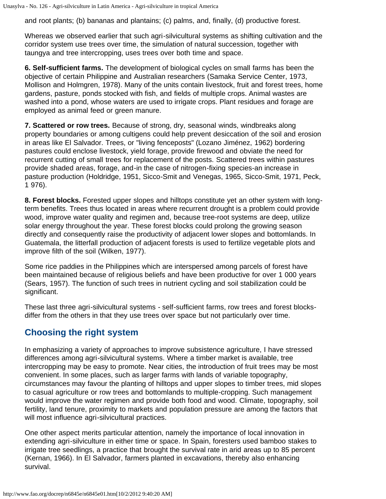and root plants; (b) bananas and plantains; (c) palms, and, finally, (d) productive forest.

Whereas we observed earlier that such agri-silvicultural systems as shifting cultivation and the corridor system use trees over time, the simulation of natural succession, together with taungya and tree intercropping, uses trees over both time and space.

**6. Self-sufficient farms.** The development of biological cycles on small farms has been the objective of certain Philippine and Australian researchers (Samaka Service Center, 1973, Mollison and Holmgren, 1978). Many of the units contain livestock, fruit and forest trees, home gardens, pasture, ponds stocked with fish, and fields of multiple crops. Animal wastes are washed into a pond, whose waters are used to irrigate crops. Plant residues and forage are employed as animal feed or green manure.

**7. Scattered or row trees.** Because of strong, dry, seasonal winds, windbreaks along property boundaries or among cultigens could help prevent desiccation of the soil and erosion in areas like El Salvador. Trees, or "living fenceposts" (Lozano Jiménez, 1962) bordering pastures could enclose livestock, yield forage, provide firewood and obviate the need for recurrent cutting of small trees for replacement of the posts. Scattered trees within pastures provide shaded areas, forage, and-in the case of nitrogen-fixing species-an increase in pasture production (Holdridge, 1951, Sicco-Smit and Venegas, 1965, Sicco-Smit, 1971, Peck, 1 976).

**8. Forest blocks.** Forested upper slopes and hilltops constitute yet an other system with longterm benefits. Trees thus located in areas where recurrent drought is a problem could provide wood, improve water quality and regimen and, because tree-root systems are deep, utilize solar energy throughout the year. These forest blocks could prolong the growing season directly and consequently raise the productivity of adjacent lower slopes and bottomlands. In Guatemala, the litterfall production of adjacent forests is used to fertilize vegetable plots and improve filth of the soil (Wilken, 1977).

Some rice paddies in the Philippines which are interspersed among parcels of forest have been maintained because of religious beliefs and have been productive for over 1 000 years (Sears, 1957). The function of such trees in nutrient cycling and soil stabilization could be significant.

These last three agri-silvicultural systems - self-sufficient farms, row trees and forest blocksdiffer from the others in that they use trees over space but not particularly over time.

## **Choosing the right system**

In emphasizing a variety of approaches to improve subsistence agriculture, I have stressed differences among agri-silvicultural systems. Where a timber market is available, tree intercropping may be easy to promote. Near cities, the introduction of fruit trees may be most convenient. In some places, such as larger farms with lands of variable topography, circumstances may favour the planting of hilltops and upper slopes to timber trees, mid slopes to casual agriculture or row trees and bottomlands to multiple-cropping. Such management would improve the water regimen and provide both food and wood. Climate, topography, soil fertility, land tenure, proximity to markets and population pressure are among the factors that will most influence agri-silvicultural practices.

One other aspect merits particular attention, namely the importance of local innovation in extending agri-silviculture in either time or space. In Spain, foresters used bamboo stakes to irrigate tree seedlings, a practice that brought the survival rate in arid areas up to 85 percent (Kernan, 1966). In El Salvador, farmers planted in excavations, thereby also enhancing survival.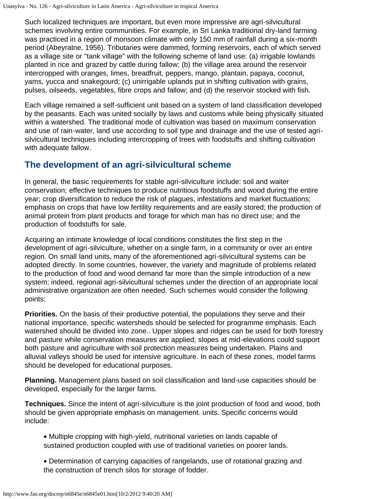Such localized techniques are important, but even more impressive are agri-silvicultural schemes involving entire communities. For example, in Sri Lanka traditional dry-land farming was practiced in a region of monsoon climate with only 150 mm of rainfall during a six-month period (Abeyratne, 1956). Tributaries were dammed, forming reservoirs, each of which served as a village site or "tank village" with the following scheme of land use: (a) irrigable lowlands planted in rice and grazed by cattle during fallow; (b) the village area around the reservoir intercropped with oranges, limes, breadfruit, peppers, mango, plantain, papaya, coconut, yams, yucca and snakegourd; (c) unirrigable uplands put in shifting cultivation with grains, pulses, oilseeds, vegetables, fibre crops and fallow; and (d) the reservoir stocked with fish.

Each village remained a self-sufficient unit based on a system of land classification developed by the peasants. Each was united socially by laws and customs while being physically situated within a watershed. The traditional mode of cultivation was based on maximum conservation and use of rain-water, land use according to soil type and drainage and the use of tested agrisilvicultural techniques including intercropping of trees with foodstuffs and shifting cultivation with adequate fallow.

### **The development of an agri-silvicultural scheme**

In general, the basic requirements for stable agri-silviculture include: soil and waiter conservation; effective techniques to produce nutritious foodstuffs and wood during the entire year; crop diversification to reduce the risk of plagues, infestations and market fluctuations; emphasis on crops that have low fertility requirements and are easily stored; the production of animal protein from plant products and forage for which man has no direct use; and the production of foodstuffs for sale.

Acquiring an intimate knowledge of local conditions constitutes the first step in the development of agri-silviculture, whether on a single farm, in a community or over an entire region. On small land units, many of the aforementioned agri-silvicultural systems can be adopted directly. In some countries, however, the variety and magnitude of problems related to the production of food and wood demand far more than the simple introduction of a new system; indeed, regional agri-silvicultural schemes under the direction of an appropriate local administrative organization are often needed. Such schemes would consider the following points:

**Priorities.** On the basis of their productive potential, the populations they serve and their national importance, specific watersheds should be selected for programme emphasis. Each watershed should be divided into zone.. Upper slopes and ridges can be used for both forestry and pasture while conservation measures are applied; slopes at mid-elevations could support both pasture and agriculture with soil protection measures being undertaken. Plains and alluvial valleys should be used for intensive agriculture. In each of these zones, model farms should be developed for educational purposes.

**Planning.** Management plans based on soil classification and land-use capacities should be developed, especially for the larger farms.

**Techniques.** Since the intent of agri-silviculture is the joint production of food and wood, both should be given appropriate emphasis on management. units. Specific concerns would include:

- · Multiple cropping with high-yield, nutritional varieties on lands capable of sustained production coupled with use of traditional varieties on poorer lands.
- · Determination of carrying capacities of rangelands, use of rotational grazing and the construction of trench silos for storage of fodder.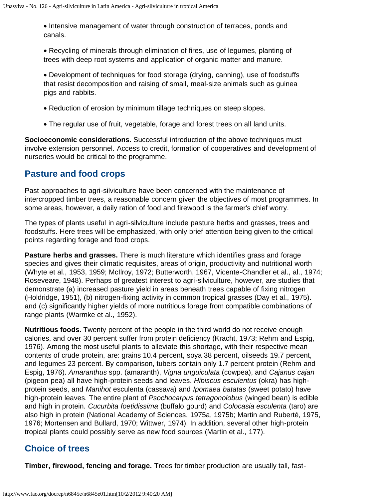· Intensive management of water through construction of terraces, ponds and canals.

· Recycling of minerals through elimination of fires, use of legumes, planting of trees with deep root systems and application of organic matter and manure.

· Development of techniques for food storage (drying, canning), use of foodstuffs that resist decomposition and raising of small, meal-size animals such as guinea pigs and rabbits.

- · Reduction of erosion by minimum tillage techniques on steep slopes.
- · The regular use of fruit, vegetable, forage and forest trees on all land units.

**Socioeconomic considerations.** Successful introduction of the above techniques must involve extension personnel. Access to credit, formation of cooperatives and development of nurseries would be critical to the programme.

### **Pasture and food crops**

Past approaches to agri-silviculture have been concerned with the maintenance of intercropped timber trees, a reasonable concern given the objectives of most programmes. In some areas, however, a daily ration of food and firewood is the farmer's chief worry.

The types of plants useful in agri-silviculture include pasture herbs and grasses, trees and foodstuffs. Here trees will be emphasized, with only brief attention being given to the critical points regarding forage and food crops.

**Pasture herbs and grasses.** There is much literature which identifies grass and forage species and gives their climatic requisites, areas of origin, productivity and nutritional worth (Whyte et al., 1953, 1959; McIlroy, 1972; Butterworth, 1967, Vicente-Chandler et al., al., 1974; Roseveare, 1948). Perhaps of greatest interest to agri-silviculture, however, are studies that demonstrate (a) increased pasture yield in areas beneath trees capable of fixing nitrogen (Holdridge, 1951), (b) nitrogen-fixing activity in common tropical grasses (Day et al., 1975). and (c) significantly higher yields of more nutritious forage from compatible combinations of range plants (Warmke et al., 1952).

**Nutritious foods.** Twenty percent of the people in the third world do not receive enough calories, and over 30 percent suffer from protein deficiency (Kracht, 1973; Rehm and Espig, 1976). Among the most useful plants to alleviate this shortage, with their respective mean contents of crude protein, are: grains 10.4 percent, soya 38 percent, oilseeds 19.7 percent, and legumes 23 percent. By comparison, tubers contain only 1.7 percent protein (Rehm and Espig, 1976). *Amaranthus* spp. (amaranth), *Vigna unguiculata* (cowpea), and *Cajanus cajan* (pigeon pea) all have high-protein seeds and leaves. *Hibiscus esculentus* (okra) has highprotein seeds, and *Manihot* esculenta (cassava) and *Ipomaea batatas* (sweet potato) have high-protein leaves. The entire plant of *Psochocarpus tetragonolobus* (winged bean) is edible and high in protein. *Cucurbita foetidissima* (buffalo gourd) and *Colocasia esculenta* (taro) are also high in protein (National Academy of Sciences, 1975a, 1975b; Martin and Ruberté, 1975, 1976; Mortensen and Bullard, 1970; Wittwer, 1974). In addition, several other high-protein tropical plants could possibly serve as new food sources (Martin et al., 177).

### **Choice of trees**

**Timber, firewood, fencing and forage.** Trees for timber production are usually tall, fast-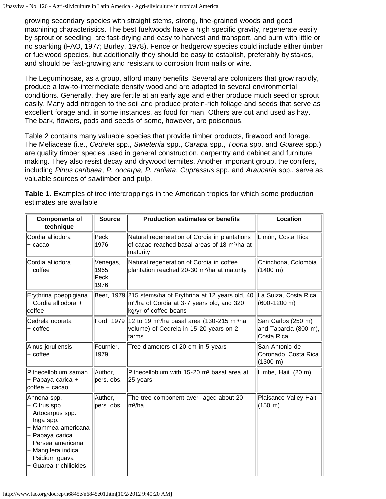growing secondary species with straight stems, strong, fine-grained woods and good machining characteristics. The best fuelwoods have a high specific gravity, regenerate easily by sprout or seedling, are fast-drying and easy to harvest and transport, and burn with little or no sparking (FAO, 1977; Burley, 1978). Fence or hedgerow species could include either timber or fuelwood species, but additionally they should be easy to establish, preferably by stakes, and should be fast-growing and resistant to corrosion from nails or wire.

The Leguminosae, as a group, afford many benefits. Several are colonizers that grow rapidly, produce a low-to-intermediate density wood and are adapted to several environmental conditions. Generally, they are fertile at an early age and either produce much seed or sprout easily. Many add nitrogen to the soil and produce protein-rich foliage and seeds that serve as excellent forage and, in some instances, as food for man. Others are cut and used as hay. The bark, flowers, pods and seeds of some, however, are poisonous.

Table 2 contains many valuable species that provide timber products, firewood and forage. The Meliaceae (i.e., *Cedrela* spp., *Swietenia* spp., *Carapa* spp., *Toona* spp. and *Guarea* spp.) are quality timber species used in general construction, carpentry and cabinet and furniture making. They also resist decay and drywood termites. Another important group, the conifers, including *Pinus caribaea*, *P. oocarpa, P. radiata*, *Cupressus* spp. and *Araucaria* spp., serve as valuable sources of sawtimber and pulp.

| <b>Components of</b><br>technique                                                                                                                                                                  | <b>Source</b>                      | <b>Production estimates or benefits</b>                                                                                                     | Location                                                       |
|----------------------------------------------------------------------------------------------------------------------------------------------------------------------------------------------------|------------------------------------|---------------------------------------------------------------------------------------------------------------------------------------------|----------------------------------------------------------------|
| Cordia alliodora<br>+ cacao                                                                                                                                                                        | Peck,<br>1976                      | Natural regeneration of Cordia in plantations<br>of cacao reached basal areas of 18 m <sup>2</sup> /ha at<br>maturity                       | Limón, Costa Rica                                              |
| Cordia alliodora<br>+ coffee                                                                                                                                                                       | Venegas,<br>1965;<br>Peck,<br>1976 | Natural regeneration of Cordia in coffee<br>plantation reached 20-30 m <sup>2</sup> /ha at maturity                                         | Chinchona, Colombia<br>$(1400 \; m)$                           |
| Erythrina poeppigiana<br>+ Cordia alliodora +<br>coffee                                                                                                                                            |                                    | Beer, 1979 215 stems/ha of Erythrina at 12 years old, 40<br>m <sup>3</sup> /ha of Cordia at 3-7 years old, and 320<br>kg/yr of coffee beans | La Suiza, Costa Rica<br>$(600-1200$ m)                         |
| Cedrela odorata<br>+ coffee                                                                                                                                                                        |                                    | Ford, 1979  12 to 19 m <sup>2</sup> /ha basal area (130-215 m <sup>3</sup> /ha<br>volume) of Cedrela in 15-20 years on 2<br> farms          | San Carlos (250 m)<br>and Tabarcia (800 m),<br>Costa Rica      |
| Alnus jorullensis<br>+ coffee                                                                                                                                                                      | Fournier,<br>1979                  | Tree diameters of 20 cm in 5 years                                                                                                          | San Antonio de<br>Coronado, Costa Rica<br>$(1300 \; \text{m})$ |
| Pithecellobium saman<br>+ Papaya carica +<br>coffee + cacao                                                                                                                                        | Author,<br>pers. obs.              | Pithecellobium with 15-20 m <sup>2</sup> basal area at<br>25 years                                                                          | Limbe, Haiti (20 m)                                            |
| Annona spp.<br>+ Citrus spp.<br>+ Artocarpus spp.<br>+ Inga spp.<br>+ Mammea americana<br>+ Papaya carica<br>+ Persea americana<br>+ Mangifera indica<br>+ Psidium guava<br>+ Guarea trichilioides | Author,<br>pers. obs.              | The tree component aver- aged about 20<br>m <sup>2</sup> /ha                                                                                | Plaisance Valley Haiti<br>$(150 \; m)$                         |

**Table 1.** Examples of tree intercroppings in the American tropics for which some production estimates are available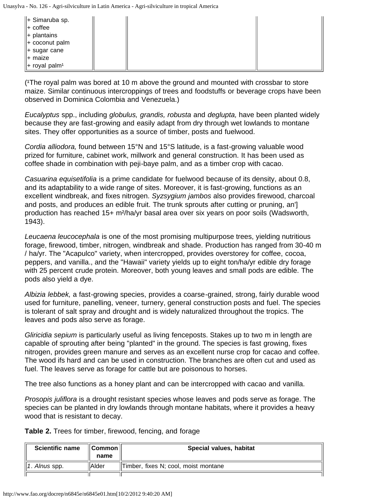| ∥+ Simaruba sp.<br>$\parallel +$ coffee<br>$  +$ plantains<br>$  +$ coconut palm<br>$  +$ sugar cane<br>∥+ maize |  |  |
|------------------------------------------------------------------------------------------------------------------|--|--|
| $\ $ + royal palm <sup>1</sup>                                                                                   |  |  |

(The royal palm was bored at 10 m above the ground and mounted with crossbar to store maize. Similar continuous intercroppings of trees and foodstuffs or beverage crops have been observed in Dominica Colombia and Venezuela.)

*Eucalyptus* spp., including *globulus, grandis, robusta* and *deglupta,* have been planted widely because they are fast-growing and easily adapt from dry through wet lowlands to montane sites. They offer opportunities as a source of timber, posts and fuelwood.

*Cordia alliodora,* found between 15°N and 15°S latitude, is a fast-growing valuable wood prized for furniture, cabinet work, millwork and general construction. It has been used as coffee shade in combination with peji-baye palm, and as a timber crop with cacao.

*Casuarina equisetifolia* is a prime candidate for fuelwood because of its density, about 0.8, and its adaptability to a wide range of sites. Moreover, it is fast-growing, functions as an excellent windbreak, and fixes nitrogen. *Syzsygium jambos* also provides firewood, charcoal and posts, and produces an edible fruit. The trunk sprouts after cutting or pruning, an'] production has reached 15+ m²/ha/yr basal area over six years on poor soils (Wadsworth, 1943).

*Leucaena leucocephala* is one of the most promising multipurpose trees, yielding nutritious forage, firewood, timber, nitrogen, windbreak and shade. Production has ranged from 30-40 m / ha/yr. The "Acapulco" variety, when intercropped, provides overstorey for coffee, cocoa, peppers, and vanilla., and the "Hawaii" variety yields up to eight ton/ha/yr edible dry forage with 25 percent crude protein. Moreover, both young leaves and small pods are edible. The pods also yield a dye.

*Albizia lebbek,* a fast-growing species, provides a coarse-grained, strong, fairly durable wood used for furniture, panelling, veneer, turnery, general construction posts and fuel. The species is tolerant of salt spray and drought and is widely naturalized throughout the tropics. The leaves and pods also serve as forage.

*Gliricidia sepium* is particularly useful as living fenceposts. Stakes up to two m in length are capable of sprouting after being "planted" in the ground. The species is fast growing, fixes nitrogen, provides green manure and serves as an excellent nurse crop for cacao and coffee. The wood ifs hard and can be used in construction. The branches are often cut and used as fuel. The leaves serve as forage for cattle but are poisonous to horses.

The tree also functions as a honey plant and can be intercropped with cacao and vanilla.

*Prosopis juliflora* is a drought resistant species whose leaves and pods serve as forage. The species can be planted in dry lowlands through montane habitats, where it provides a heavy wood that is resistant to decay.

**Table 2.** Trees for timber, firewood, fencing, and forage

| <b>Scientific name</b> | ∥Common∥<br>name | Special values, habitat              |
|------------------------|------------------|--------------------------------------|
| . Alnus spp.           | <b>Alder</b>     | Timber, fixes N; cool, moist montane |
|                        |                  |                                      |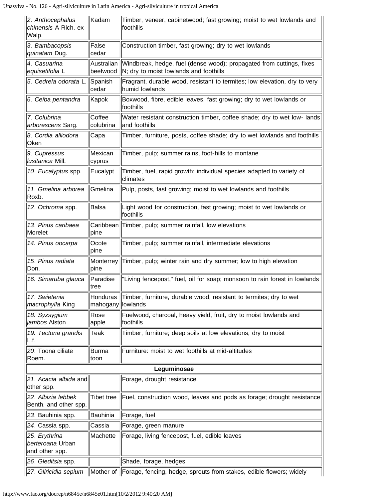| 2. Anthocephalus<br>chinensis A Rich. ex<br>Walp.   | Kadam                  | Timber, veneer, cabinetwood; fast growing; moist to wet lowlands and<br>foothills                              |  |
|-----------------------------------------------------|------------------------|----------------------------------------------------------------------------------------------------------------|--|
| 3. Bambacopsis<br>quinatam Dug.                     | False<br>cedar         | Construction timber, fast growing; dry to wet lowlands                                                         |  |
| 4. Casuarina<br>equisetifolia L                     | Australian<br>beefwood | Windbreak, hedge, fuel (dense wood); propagated from cuttings, fixes<br>N; dry to moist lowlands and foothills |  |
| 5. Cedrela odorata L.                               | Spanish<br>cedar       | Fragrant, durable wood, resistant to termites; low elevation, dry to very<br>humid lowlands                    |  |
| 6. Ceiba pentandra                                  | Kapok                  | Boxwood, fibre, edible leaves, fast growing; dry to wet lowlands or<br>foothills                               |  |
| 7. Colubrina<br>arborescens Sarg.                   | Coffee<br>colubrina    | Water resistant construction timber, coffee shade; dry to wet low- lands<br>and foothills                      |  |
| 8. Cordia alliodora<br>Oken                         | Capa                   | Timber, furniture, posts, coffee shade; dry to wet lowlands and foothills                                      |  |
| 9. Cupressus<br>lusitanica Mill.                    | Mexican<br>cyprus      | Timber, pulp; summer rains, foot-hills to montane                                                              |  |
| 10. Eucalyptus spp.                                 | Eucalypt               | Timber, fuel, rapid growth; individual species adapted to variety of<br>climates                               |  |
| 11. Gmelina arborea<br>Roxb.                        | Gmelina                | Pulp, posts, fast growing; moist to wet lowlands and foothills                                                 |  |
| 12. Ochroma spp.                                    | Balsa                  | Light wood for construction, fast growing; moist to wet lowlands or<br>foothills                               |  |
| 13. Pinus caribaea<br>Morelet                       | pine                   | Caribbean Timber, pulp; summer rainfall, low elevations                                                        |  |
| 14. Pinus oocarpa                                   | Ocote                  | Timber, pulp; summer rainfall, intermediate elevations                                                         |  |
|                                                     | pine                   |                                                                                                                |  |
| 15. Pinus radiata<br>Don.                           | Monterrey<br>pine      | Timber, pulp; winter rain and dry summer; low to high elevation                                                |  |
| 16. Simaruba glauca                                 | Paradise<br>∣tree      | "Living fencepost," fuel, oil for soap; monsoon to rain forest in lowlands                                     |  |
| 17. Swietenia<br><i>macrophylla</i> King            | mahogany  lowlands     | Honduras Timber, furniture, durable wood, resistant to termites; dry to wet                                    |  |
| 18. Syzsygium<br>jambos Alston                      | Rose<br>apple          | Fuelwood, charcoal, heavy yield, fruit, dry to moist lowlands and<br>foothills                                 |  |
| 19. Tectona grandis<br>L.f.                         | Teak                   | Timber, furniture; deep soils at low elevations, dry to moist                                                  |  |
| 20. Toona ciliate<br>Roem.                          | Burma<br> toon         | Furniture: moist to wet foothills at mid-altitudes                                                             |  |
| Leguminosae                                         |                        |                                                                                                                |  |
| 21. Acacia albida and<br>other spp.                 |                        | Forage, drought resistance                                                                                     |  |
| 22. Albizia lebbek<br>Benth. and other spp.         | <b>Tibet tree</b>      | Fuel, construction wood, leaves and pods as forage; drought resistance                                         |  |
| 23. Bauhinia spp.                                   | Bauhinia               | Forage, fuel                                                                                                   |  |
| 24. Cassia spp.                                     | Cassia                 | Forage, green manure                                                                                           |  |
| 25. Erythrina<br>berteroana Urban<br>and other spp. | Machette               | Forage, living fencepost, fuel, edible leaves                                                                  |  |
| 26. Gleditsia spp.                                  |                        | Shade, forage, hedges                                                                                          |  |
| 27. Gliricidia sepium                               |                        | Mother of Forage, fencing, hedge, sprouts from stakes, edible flowers; widely                                  |  |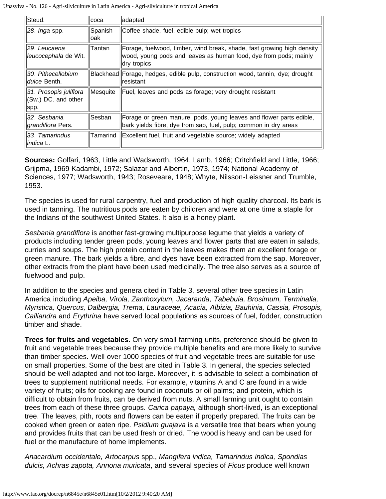| Steud.                                                 | coca            | adapted                                                                                                                                                   |  |
|--------------------------------------------------------|-----------------|-----------------------------------------------------------------------------------------------------------------------------------------------------------|--|
| 28. <i>Inga</i> spp.                                   | Spanish<br>loak | Coffee shade, fuel, edible pulp; wet tropics                                                                                                              |  |
| 29. Leucaena<br>leucocephala de Wit.                   | lTantan         | Forage, fuelwood, timber, wind break, shade, fast growing high density<br>wood, young pods and leaves as human food, dye from pods; mainly<br>dry tropics |  |
| 30. Pithecellobium<br><i>dulce</i> Benth.              |                 | Blackhead Forage, hedges, edible pulp, construction wood, tannin, dye; drought<br>resistant                                                               |  |
| 31. Prosopis juliflora<br>(Sw.) DC. and other<br> spp. | Mesquite        | Fuel, leaves and pods as forage; very drought resistant                                                                                                   |  |
| 32. Sesbania<br>grandiflora Pers.                      | lSesban         | Forage or green manure, pods, young leaves and flower parts edible,<br>bark yields fibre, dye from sap, fuel, pulp; common in dry areas                   |  |
| 33. Tamarindus<br>indica L.                            | Tamarind        | Excellent fuel, fruit and vegetable source; widely adapted                                                                                                |  |

**Sources:** Golfari, 1963, Little and Wadsworth, 1964, Lamb, 1966; Critchfield and Little, 1966; Grijpma, 1969 Kadambi, 1972; Salazar and Albertin, 1973, 1974; National Academy of Sciences, 1977; Wadsworth, 1943; Roseveare, 1948; Whyte, Nilsson-Leissner and Trumble, 1953.

The species is used for rural carpentry, fuel and production of high quality charcoal. Its bark is used in tanning. The nutritious pods are eaten by children and were at one time a staple for the Indians of the southwest United States. It also is a honey plant.

*Sesbania grandiflora* is another fast-growing multipurpose legume that yields a variety of products including tender green pods, young leaves and flower parts that are eaten in salads, curries and soups. The high protein content in the leaves makes them an excellent forage or green manure. The bark yields a fibre, and dyes have been extracted from the sap. Moreover, other extracts from the plant have been used medicinally. The tree also serves as a source of fuelwood and pulp.

In addition to the species and genera cited in Table 3, several other tree species in Latin America including *Apeiba, Virola, Zanthoxylum, Jacaranda, Tabebuia, Brosimum, Terminalia, Myristica, Quercus, Dalbergia, Trema, Lauraceae, Acacia, Albizia, Bauhinia, Cassia, Prosopis, Calliandra* and *Erythrina* have served local populations as sources of fuel, fodder, construction timber and shade.

**Trees for fruits and vegetables.** On very small farming units, preference should be given to fruit and vegetable trees because they provide multiple benefits and are more likely to survive than timber species. Well over 1000 species of fruit and vegetable trees are suitable for use on small properties. Some of the best are cited in Table 3. In general, the species selected should be well adapted and not too large. Moreover, it is advisable to select a combination of trees to supplement nutritional needs. For example, vitamins A and C are found in a wide variety of fruits; oils for cooking are found in coconuts or oil palms; and protein, which is difficult to obtain from fruits, can be derived from nuts. A small farming unit ought to contain trees from each of these three groups. *Carica papaya,* although short-lived, is an exceptional tree. The leaves, pith, roots and flowers can be eaten if properly prepared. The fruits can be cooked when green or eaten ripe. *Psidium guajava* is a versatile tree that bears when young and provides fruits that can be used fresh or dried. The wood is heavy and can be used for fuel or the manufacture of home implements.

*Anacardium occidentale, Artocarpus* spp., *Mangifera indica, Tamarindus indica, Spondias dulcis, Achras zapota, Annona muricata*, and several species of *Ficus* produce well known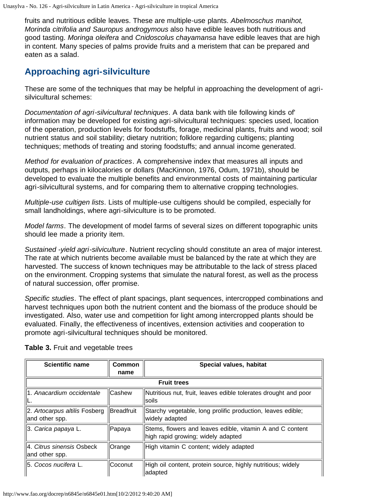fruits and nutritious edible leaves. These are multiple-use plants. *Abelmoschus manihot, Morinda citrifolia and Sauropus androgymous* also have edible leaves both nutritious and good tasting. *Moringa oleifera* and *Cnidoscolus chayamansa* have edible leaves that are high in content. Many species of palms provide fruits and a meristem that can be prepared and eaten as a salad.

## **Approaching agri-silviculture**

These are some of the techniques that may be helpful in approaching the development of agrisilvicultural schemes:

*Documentation of agri-silvicultural techniques*. A data bank with tile following kinds of' information may be developed for existing agri-silvicultural techniques: species used, location of the operation, production levels for foodstuffs, forage, medicinal plants, fruits and wood; soil nutrient status and soil stability; dietary nutrition; folklore regarding cultigens; planting techniques; methods of treating and storing foodstuffs; and annual income generated.

*Method for evaluation of practices*. A comprehensive index that measures all inputs and outputs, perhaps in kilocalories or dollars (MacKinnon, 1976, Odum, 1971b), should be developed to evaluate the multiple benefits and environmental costs of maintaining particular agri-silvicultural systems, and for comparing them to alternative cropping technologies.

*Multiple-use cultigen lists*. Lists of multiple-use cultigens should be compiled, especially for small landholdings, where agri-silviculture is to be promoted.

*Model farms*. The development of model farms of several sizes on different topographic units should lee made a priority item.

*Sustained -yield agri-silviculture*. Nutrient recycling should constitute an area of major interest. The rate at which nutrients become available must be balanced by the rate at which they are harvested. The success of known techniques may be attributable to the lack of stress placed on the environment. Cropping systems that simulate the natural forest, as well as the process of natural succession, offer promise.

*Specific studies*. The effect of plant spacings, plant sequences, intercropped combinations and harvest techniques upon both the nutrient content and the biomass of the produce should be investigated. Also, water use and competition for light among intercropped plants should be evaluated. Finally, the effectiveness of incentives, extension activities and cooperation to promote agri-silvicultural techniques should be monitored.

| <b>Scientific name</b>                          | Common<br>name | Special values, habitat                                                                         |  |
|-------------------------------------------------|----------------|-------------------------------------------------------------------------------------------------|--|
| <b>Fruit trees</b>                              |                |                                                                                                 |  |
| 1. Anacardium occidentale                       | Cashew         | Nutritious nut, fruit, leaves edible tolerates drought and poor<br>lsoils                       |  |
| 2. Artocarpus altilis Fosberg<br>and other spp. | Breadfruit     | Starchy vegetable, long prolific production, leaves edible;<br>widely adapted                   |  |
| 3. <i>Carica papaya</i> L.                      | Papaya         | Stems, flowers and leaves edible, vitamin A and C content<br>high rapid growing; widely adapted |  |
| 4. Citrus sinensis Osbeck<br>and other spp.     | Orange         | High vitamin C content; widely adapted                                                          |  |
| 5. Cocos nucifera L.                            | Coconut        | High oil content, protein source, highly nutritious; widely<br>ladapted                         |  |

#### **Table 3.** Fruit and vegetable trees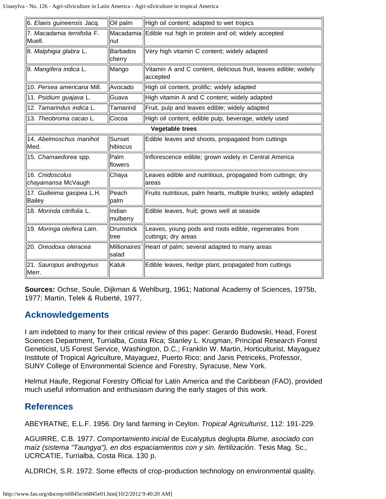Unasylva - No. 126 - Agri-silviculture in Latin America - Agri-silviculture in tropical America

| 6. Elaeis guineensis Jacq.                  | Oil palm                  | High oil content; adapted to wet tropics                                     |
|---------------------------------------------|---------------------------|------------------------------------------------------------------------------|
| 7. Macadamia ternifolia F.<br>Muell.        | Inut                      | Macadamia Edible nut high in protein and oil; widely accepted                |
| 8. Malphigia glabra L.                      | <b>Barbados</b><br>cherry | Very high vitamin C content; widely adapted                                  |
| 9. <i>Mangifera indica</i> L.               | Mango                     | Vitamin A and C content, delicious fruit, leaves edible; widely<br>accepted  |
| 10. Persea americana Mill.                  | lAvocado                  | High oil content, prolific; widely adapted                                   |
| 11. Psidium guajava L.                      | Guava                     | High vitamin A and C content; widely adapted                                 |
| 12. Tamarindus indica L.                    | Tamarind                  | Fruit, pulp and leaves edible; widely adapted                                |
| 13. Theobroma cacao L.                      | Cocoa                     | High oil content, edible pulp, beverage, widely used                         |
|                                             |                           | <b>Vegetable trees</b>                                                       |
| 14, Abelmoschus manihot<br>Med.             | Sunset<br>hibiscus        | Edible leaves and shoots, propagated from cuttings                           |
| 15. Chamaedorea spp.                        | Palm<br>lflowers          | Inflorescence edible; grown widely in Central America                        |
| 16. Cnidoscolus<br>chayamansa McVaugh       | Chaya                     | Leaves edible and nutritious, propagated from cuttings; dry<br>lareas        |
| 17. Guilieima gasipea L.H.<br><b>Bailey</b> | Peach<br> palm            | Fruits nutritious, palm hearts, multiple trunks; widely adapted              |
| 18. Morinda citrifolia L.                   | Indian<br>mulberry        | Edible leaves, fruit; grows well at seaside                                  |
| 19. Moringa oleifera Lam.                   | Drumstick<br> tree        | Leaves, young pods and roots edible, regenerates from<br>cuttings; dry areas |
| 20. Oreodoxa oleracea                       | Millionaires'<br> salad   | Heart of palm; several adapted to many areas                                 |
| 21. Sauropus androgynus<br>Merr.            | Katuk                     | Edible leaves, hedge plant, propagated from cuttings                         |

**Sources:** Ochse, Soule, Dijkman & Wehlburg, 1961; National Academy of Sciences, 1975b, 1977; Martin, Telek & Ruberté, 1977,

### **Acknowledgements**

I am indebted to many for their critical review of this paper: Gerardo Budowski, Head, Forest Sciences Department, Turrialba, Costa Rica; Stanley L. Krugman, Principal Research Forest Geneticist, US Forest Service, Washington, D.C.; Franklin W. Martin, Horticulturist, Mayaguez Institute of Tropical Agriculture, Mayaguez, Puerto Rico; and Janis Petriceks, Professor, SUNY College of Environmental Science and Forestry, Syracuse, New York.

Helmut Haufe, Regional Forestry Official for Latin America and the Caribbean (FAO), provided much useful information and enthusiasm during the early stages of this work.

#### **References**

ABEYRATNE, E.L.F. 1956. Dry land farming in Ceylon. *Tropical Agriculturist*, 112: 191-229.

AGUIRRE, C.B. 1977. *Comportamiento inicial* de Eucalyptus deglupta *Blume, asociado con maíz (sistema "Taungya"), en dos espaciamientos con y sin. fertilización*. Tesis Mag. Sc., UCRCATIE, Turrialba, Costa Rica. 130 p.

ALDRICH, S.R. 1972. Some effects of crop-production technology on environmental quality.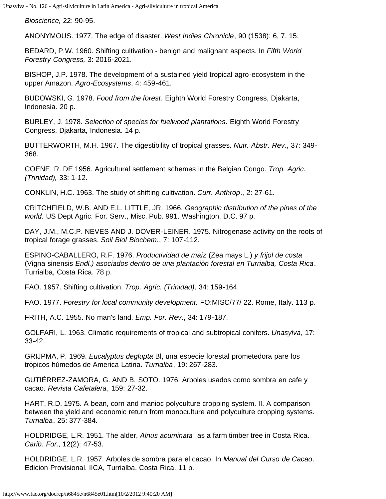*Bioscience,* 22: 90-95.

ANONYMOUS. 1977. The edge of disaster. *West Indies Chronicle*, 90 (1538): 6, 7, 15.

BEDARD, P.W. 1960. Shifting cultivation - benign and malignant aspects. In *Fifth World Forestry Congress,* 3: 2016-2021.

BISHOP, J.P. 1978. The development of a sustained yield tropical agro-ecosystem in the upper Amazon. *Agro-Ecosystems*, 4: 459-461.

BUDOWSKI, G. 1978. *Food from the forest*. Eighth World Forestry Congress, Djakarta, Indonesia. 20 p.

BURLEY, J. 1978. *Selection of species for fuelwood plantations*. Eighth World Forestry Congress, Djakarta, Indonesia. 14 p.

BUTTERWORTH, M.H. 1967. The digestibility of tropical grasses. *Nutr. Abstr. Rev*., 37: 349- 368.

COENE, R. DE 1956. Agricultural settlement schemes in the Belgian Congo. *Trop. Agric. (Trinidad),* 33: 1-12.

CONKLIN, H.C. 1963. The study of shifting cultivation. *Curr. Anthrop*., 2: 27-61.

CRITCHFIELD, W.B. AND E.L. LITTLE, JR. 1966. *Geographic distribution of the pines of the world*. US Dept Agric. For. Serv., Misc. Pub. 991. Washington, D.C. 97 p.

DAY, J.M., M.C.P. NEVES AND J. DOVER-LEINER. 1975. Nitrogenase activity on the roots of tropical forage grasses. *Soil Biol Biochem.*, 7: 107-112.

ESPINO-CABALLERO, R.F. 1976. *Productividad de maíz* (Zea mays L.) *y frijol de costa* (Vigna sinensis *Endl.) asociados dentro de una plantación forestal en Turrialba, Costa Rica*. Turrialba, Costa Rica. 78 p.

FAO. 1957. Shifting cultivation. *Trop. Agric. (Trinidad),* 34: 159-164.

FAO. 1977. *Forestry for local community development.* FO:MISC/77/ 22. Rome, Italy. 113 p.

FRITH, A.C. 1955. No man's land. *Emp. For. Rev*., 34: 179-187.

GOLFARI, L. 1963. Climatic requirements of tropical and subtropical conifers. *Unasylva*, 17: 33-42.

GRIJPMA, P. 1969. *Eucalyptus deglupta* Bl, una especie forestal prometedora pare los trópicos húmedos de America Latina. *Turrialba*, 19: 267-283.

GUTIÉRREZ-ZAMORA, G. AND B. SOTO. 1976. Arboles usados como sombra en cafe y cacao. *Revista Cafetalera*, 159: 27-32.

HART, R.D. 1975. A bean, corn and manioc polyculture cropping system. II. A comparison between the yield and economic return from monoculture and polyculture cropping systems. *Turrialba*, 25: 377-384.

HOLDRIDGE, L.R. 1951. The alder, *Alnus acuminata*, as a farm timber tree in Costa Rica. *Carib. For.,* 12(2): 47-53.

HOLDRIDGE, L.R. 1957. Arboles de sombra para el cacao. In *Manual del Curso de Cacao*. Edicion Provisional. IICA, Turrialba, Costa Rica. 11 p.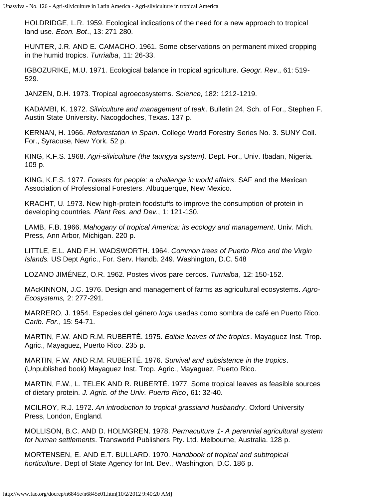HOLDRIDGE, L.R. 1959. Ecological indications of the need for a new approach to tropical land use. *Econ. Bot*., 13: 271 280.

HUNTER, J.R. AND E. CAMACHO. 1961. Some observations on permanent mixed cropping in the humid tropics. *Turrialba*, 11: 26-33.

IGBOZURIKE, M.U. 1971. Ecological balance in tropical agriculture. *Geogr. Rev*., 61: 519- 529.

JANZEN, D.H. 1973. Tropical agroecosystems. *Science,* 182: 1212-1219.

KADAMBI, K. 1972. *Silviculture and management of teak*. Bulletin 24, Sch. of For., Stephen F. Austin State University. Nacogdoches, Texas. 137 p.

KERNAN, H. 1966. *Reforestation in Spain*. College World Forestry Series No. 3. SUNY Coll. For., Syracuse, New York. 52 p.

KING, K.F.S. 1968. *Agri-silviculture (the taungya system).* Dept. For., Univ. Ibadan, Nigeria. 109 p.

KING, K.F.S. 1977. *Forests for people: a challenge in world affairs*. SAF and the Mexican Association of Professional Foresters. Albuquerque, New Mexico.

KRACHT, U. 1973. New high-protein foodstuffs to improve the consumption of protein in developing countries. *Plant Res. and Dev.*, 1: 121-130.

LAMB, F.B. 1966. *Mahogany of tropical America: its ecology and management*. Univ. Mich. Press, Ann Arbor, Michigan. 220 p.

LITTLE, E.L. AND F.H. WADSWORTH. 1964. *Common trees of Puerto Rico and the Virgin Islands.* US Dept Agric., For. Serv. Handb. 249. Washington, D.C. 548

LOZANO JIMÉNEZ, O.R. 1962. Postes vivos pare cercos. *Turrialba*, 12: 150-152.

MAcKINNON, J.C. 1976. Design and management of farms as agricultural ecosystems. *Agro-Ecosystems,* 2: 277-291.

MARRERO, J. 1954. Especies del género *Inga* usadas como sombra de café en Puerto Rico. *Carib. For*., 15: 54-71.

MARTIN, F.W. AND R.M. RUBERTÉ. 1975. *Edible leaves of the tropics*. Mayaguez Inst. Trop. Agric., Mayaguez, Puerto Rico. 235 p.

MARTIN, F.W. AND R.M. RUBERTÉ. 1976. *Survival and subsistence in the tropics*. (Unpublished book) Mayaguez Inst. Trop. Agric., Mayaguez, Puerto Rico.

MARTIN, F.W., L. TELEK AND R. RUBERTÉ. 1977. Some tropical leaves as feasible sources of dietary protein. *J. Agric. of the Univ. Puerto Rico*, 61: 32-40.

MCILROY, R.J. 1972. *An introduction to tropical grassland husbandry*. Oxford University Press, London, England.

MOLLISON, B.C. AND D. HOLMGREN. 1978. *Permaculture 1- A perennial agricultural system for human settlements*. Transworld Publishers Pty. Ltd. Melbourne, Australia. 128 p.

MORTENSEN, E. AND E.T. BULLARD. 1970. *Handbook of tropical and subtropical horticulture*. Dept of State Agency for Int. Dev., Washington, D.C. 186 p.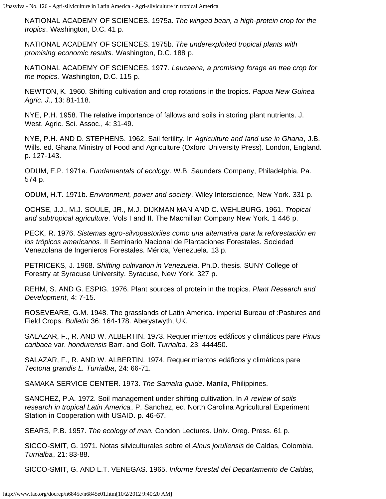NATIONAL ACADEMY OF SCIENCES. 1975a. *The winged bean, a high-protein crop for the tropics*. Washington, D.C. 41 p.

NATIONAL ACADEMY OF SCIENCES. 1975b. *The underexploited tropical plants with promising economic results*. Washington, D.C. 188 p.

NATIONAL ACADEMY OF SCIENCES. 1977. *Leucaena, a promising forage an tree crop for the tropics*. Washington, D.C. 115 p.

NEWTON, K. 1960. Shifting cultivation and crop rotations in the tropics. *Papua New Guinea Agric. J.,* 13: 81-118.

NYE, P.H. 1958. The relative importance of fallows and soils in storing plant nutrients. J. West. Agric. Sci. Assoc., 4: 31-49.

NYE, P.H. AND D. STEPHENS. 1962. Sail fertility. In *Agriculture and land use in Ghana*, J.B. Wills. ed. Ghana Ministry of Food and Agriculture (Oxford University Press). London, England. p. 127-143.

ODUM, E.P. 1971a. *Fundamentals of ecology*. W.B. Saunders Company, Philadelphia, Pa. 574 p.

ODUM, H.T. 1971b. *Environment, power and society*. Wiley Interscience, New York. 331 p.

OCHSE, J.J., M.J. SOULE, JR., M.J. DIJKMAN MAN AND C. WEHLBURG. 1961. *Tropical and subtropical agriculture*. Vols I and II. The Macmillan Company New York. 1 446 p.

PECK, R. 1976. *Sistemas agro-silvopastoriles como una alternativa para la reforestación en los trópicos americanos*. II Seminario Nacional de Plantaciones Forestales. Sociedad Venezolana de Ingenieros Forestales. Mérida, Venezuela. 13 p.

PETRICEKS, J. 1968. *Shifting cultivation in Venezuela*. Ph.D. thesis. SUNY College of Forestry at Syracuse University. Syracuse, New York. 327 p.

REHM, S. AND G. ESPIG. 1976. Plant sources of protein in the tropics. *Plant Research and Development*, 4: 7-15.

ROSEVEARE, G.M. 1948. The grasslands of Latin America. imperial Bureau of :Pastures and Field Crops. *Bulletin* 36: 164-178. Aberystwyth, UK.

SALAZAR, F., R. AND W. ALBERTIN. 1973. Requerimientos edáficos y climáticos pare *Pinus caribaea* var. *hondurensis* Barr. and Golf. *Turrialba*, 23: 444450.

SALAZAR, F., R. AND W. ALBERTIN. 1974. Requerimientos edáficos y climáticos pare *Tectona grandis L. Turrialba*, 24: 66-71.

SAMAKA SERVICE CENTER. 1973. *The Samaka guide*. Manila, Philippines.

SANCHEZ, P.A. 1972. Soil management under shifting cultivation. In *A review of soils research in tropical Latin America*, P. Sanchez, ed. North Carolina Agricultural Experiment Station in Cooperation with USAID. p. 46-67.

SEARS, P.B. 1957. *The ecology of man.* Condon Lectures. Univ. Oreg. Press. 61 p.

SICCO-SMIT, G. 1971. Notas silviculturales sobre el *Alnus jorullensis* de Caldas, Colombia. *Turrialba*, 21: 83-88.

SICCO-SMIT, G. AND L.T. VENEGAS. 1965. *Informe forestal del Departamento de Caldas,*